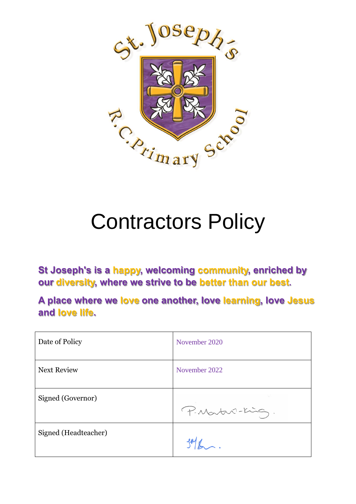

# Contractors Policy

**St Joseph's is a happy, welcoming community, enriched by our diversity, where we strive to be better than our best.**

**A place where we love one another, love learning, love Jesus and love life.**

| Date of Policy       | November 2020   |
|----------------------|-----------------|
| <b>Next Review</b>   | November 2022   |
| Signed (Governor)    | P. Martin-King. |
| Signed (Headteacher) |                 |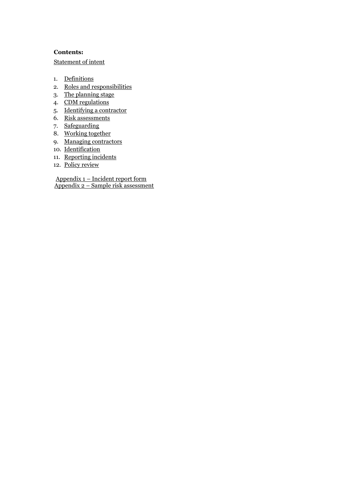#### **Contents:**

[Statement of intent](#page-2-0)

- 1. [Definitions](#page-3-0)
- 2. [Roles and responsibilities](#page-3-1)
- 3. [The planning stage](#page-4-0)
- 4. [CDM regulations](#page-4-1)
- 5. [Identifying a contractor](#page-4-2)
- 6. <u>[Risk assessments](#page-5-0)</u>
- 7. Safeguarding
- 8. [Working together](#page-5-1)
- 9. [Managing contractors](#page-6-0)
- 10. [Identification](#page-7-0)
- 11. Reporting incidents
- 12. [Policy review](#page-8-0)

Appendix 1 – Incident report form Appendix 2 – [Sample risk assessment](#page-10-0)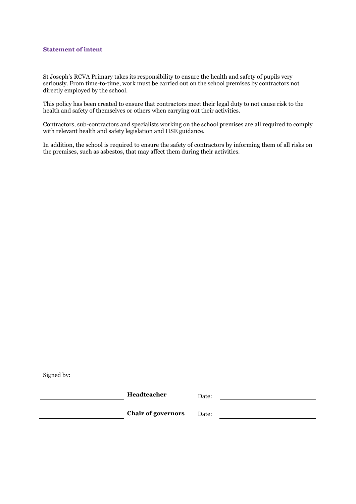<span id="page-2-0"></span>St Joseph's RCVA Primary takes its responsibility to ensure the health and safety of pupils very seriously. From time-to-time, work must be carried out on the school premises by contractors not directly employed by the school.

This policy has been created to ensure that contractors meet their legal duty to not cause risk to the health and safety of themselves or others when carrying out their activities.

Contractors, sub-contractors and specialists working on the school premises are all required to comply with relevant health and safety legislation and HSE guidance.

In addition, the school is required to ensure the safety of contractors by informing them of all risks on the premises, such as asbestos, that may affect them during their activities.

Signed by:

**Headteacher** Date: **Chair of governors** Date: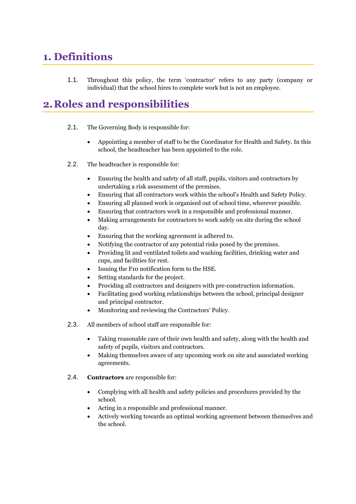### <span id="page-3-0"></span>**1. Definitions**

1.1. Throughout this policy, the term 'contractor' refers to any party (company or individual) that the school hires to complete work but is not an employee.

### <span id="page-3-1"></span>**2.Roles and responsibilities**

- 2.1. The Governing Body is responsible for:
	- Appointing a member of staff to be the Coordinator for Health and Safety. In this school, the headteacher has been appointed to the role.
- 2.2. The headteacher is responsible for:
	- Ensuring the health and safety of all staff, pupils, visitors and contractors by undertaking a risk assessment of the premises.
	- Ensuring that all contractors work within the school's Health and Safety Policy.
	- Ensuring all planned work is organised out of school time, wherever possible.
	- Ensuring that contractors work in a responsible and professional manner.
	- Making arrangements for contractors to work safely on site during the school day.
	- Ensuring that the working agreement is adhered to.
	- Notifying the contractor of any potential risks posed by the premises.
	- Providing lit and ventilated toilets and washing facilities, drinking water and cups, and facilities for rest.
	- Issuing the F10 notification form to the HSE.
	- Setting standards for the project.
	- Providing all contractors and designers with pre-construction information.
	- Facilitating good working relationships between the school, principal designer and principal contractor.
	- Monitoring and reviewing the Contractors' Policy.
- 2.3. All members of school staff are responsible for:
	- Taking reasonable care of their own health and safety, along with the health and safety of pupils, visitors and contractors.
	- Making themselves aware of any upcoming work on site and associated working agreements.

#### 2.4. **Contractors** are responsible for:

- Complying with all health and safety policies and procedures provided by the school.
- Acting in a responsible and professional manner.
- Actively working towards an optimal working agreement between themselves and the school.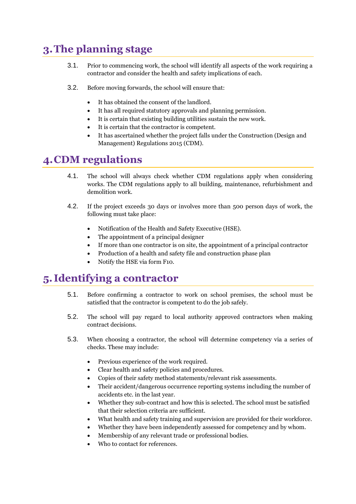# <span id="page-4-0"></span>**3.The planning stage**

- 3.1. Prior to commencing work, the school will identify all aspects of the work requiring a contractor and consider the health and safety implications of each.
- 3.2. Before moving forwards, the school will ensure that:
	- It has obtained the consent of the landlord.
	- It has all required statutory approvals and planning permission.
	- It is certain that existing building utilities sustain the new work.
	- It is certain that the contractor is competent.
	- It has ascertained whether the project falls under the Construction (Design and Management) Regulations 2015 (CDM).

## <span id="page-4-1"></span>**4.CDM regulations**

- 4.1. The school will always check whether CDM regulations apply when considering works. The CDM regulations apply to all building, maintenance, refurbishment and demolition work.
- 4.2. If the project exceeds 30 days or involves more than 500 person days of work, the following must take place:
	- Notification of the Health and Safety Executive (HSE).
	- The appointment of a principal designer
	- If more than one contractor is on site, the appointment of a principal contractor
	- Production of a health and safety file and construction phase plan
	- Notify the HSE via form F10.

# <span id="page-4-2"></span>**5. Identifying a contractor**

- 5.1. Before confirming a contractor to work on school premises, the school must be satisfied that the contractor is competent to do the job safely.
- 5.2. The school will pay regard to local authority approved contractors when making contract decisions.
- 5.3. When choosing a contractor, the school will determine competency via a series of checks. These may include:
	- Previous experience of the work required.
	- Clear health and safety policies and procedures.
	- Copies of their safety method statements/relevant risk assessments.
	- Their accident/dangerous occurrence reporting systems including the number of accidents etc. in the last year.
	- Whether they sub-contract and how this is selected. The school must be satisfied that their selection criteria are sufficient.
	- What health and safety training and supervision are provided for their workforce.
	- Whether they have been independently assessed for competency and by whom.
	- Membership of any relevant trade or professional bodies.
	- Who to contact for references.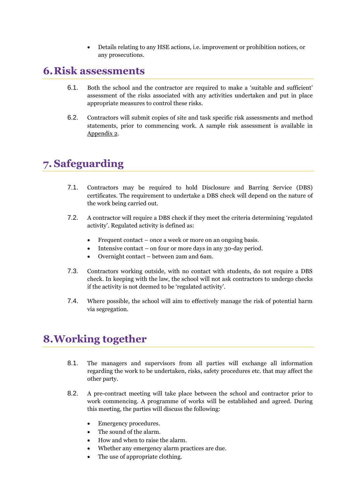• Details relating to any HSE actions, i.e. improvement or prohibition notices, or any prosecutions.

### <span id="page-5-0"></span>**6.Risk assessments**

- 6.1. Both the school and the contractor are required to make a 'suitable and sufficient' assessment of the risks associated with any activities undertaken and put in place appropriate measures to control these risks.
- 6.2. Contractors will submit copies of site and task specific risk assessments and method statements, prior to commencing work. A sample risk assessment is available in [Appendix 2.](#page-10-0)

# **7. Safeguarding**

- 7.1. Contractors may be required to hold Disclosure and Barring Service (DBS) certificates. The requirement to undertake a DBS check will depend on the nature of the work being carried out.
- 7.2. A contractor will require a DBS check if they meet the criteria determining 'regulated activity'. Regulated activity is defined as:
	- Frequent contact once a week or more on an ongoing basis.
	- Intensive contact on four or more days in any 30-day period.
	- Overnight contact between 2am and 6am.
- 7.3. Contractors working outside, with no contact with students, do not require a DBS check. In keeping with the law, the school will not ask contractors to undergo checks if the activity is not deemed to be 'regulated activity'.
- 7.4. Where possible, the school will aim to effectively manage the risk of potential harm via segregation.

# <span id="page-5-1"></span>**8.Working together**

- 8.1. The managers and supervisors from all parties will exchange all information regarding the work to be undertaken, risks, safety procedures etc. that may affect the other party.
- 8.2. A pre-contract meeting will take place between the school and contractor prior to work commencing. A programme of works will be established and agreed. During this meeting, the parties will discuss the following:
	- Emergency procedures.
	- The sound of the alarm.
	- How and when to raise the alarm.
	- Whether any emergency alarm practices are due.
	- The use of appropriate clothing.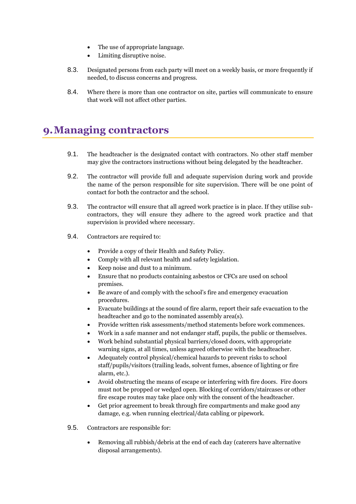- The use of appropriate language.
- Limiting disruptive noise.
- 8.3. Designated persons from each party will meet on a weekly basis, or more frequently if needed, to discuss concerns and progress.
- 8.4. Where there is more than one contractor on site, parties will communicate to ensure that work will not affect other parties.

### <span id="page-6-0"></span>**9.Managing contractors**

- 9.1. The headteacher is the designated contact with contractors. No other staff member may give the contractors instructions without being delegated by the headteacher.
- 9.2. The contractor will provide full and adequate supervision during work and provide the name of the person responsible for site supervision. There will be one point of contact for both the contractor and the school.
- 9.3. The contractor will ensure that all agreed work practice is in place. If they utilise subcontractors, they will ensure they adhere to the agreed work practice and that supervision is provided where necessary.
- 9.4. Contractors are required to:
	- Provide a copy of their Health and Safety Policy.
	- Comply with all relevant health and safety legislation.
	- Keep noise and dust to a minimum.
	- Ensure that no products containing asbestos or CFCs are used on school premises.
	- Be aware of and comply with the school's fire and emergency evacuation procedures.
	- Evacuate buildings at the sound of fire alarm, report their safe evacuation to the headteacher and go to the nominated assembly area(s).
	- Provide written risk assessments/method statements before work commences.
	- Work in a safe manner and not endanger staff, pupils, the public or themselves.
	- Work behind substantial physical barriers/closed doors, with appropriate warning signs, at all times, unless agreed otherwise with the headteacher.
	- Adequately control physical/chemical hazards to prevent risks to school staff/pupils/visitors (trailing leads, solvent fumes, absence of lighting or fire alarm, etc.).
	- Avoid obstructing the means of escape or interfering with fire doors. Fire doors must not be propped or wedged open. Blocking of corridors/staircases or other fire escape routes may take place only with the consent of the headteacher.
	- Get prior agreement to break through fire compartments and make good any damage, e.g. when running electrical/data cabling or pipework.
- 9.5. Contractors are responsible for:
	- Removing all rubbish/debris at the end of each day (caterers have alternative disposal arrangements).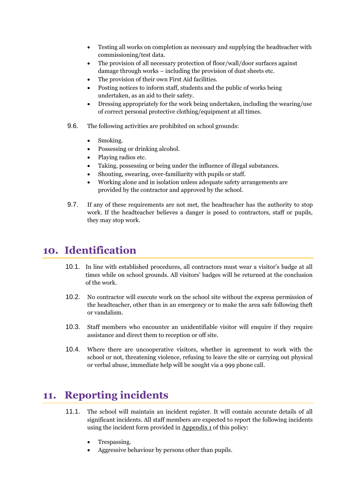- Testing all works on completion as necessary and supplying the headteacher with commissioning/test data.
- The provision of all necessary protection of floor/wall/door surfaces against damage through works – including the provision of dust sheets etc.
- The provision of their own First Aid facilities.
- Posting notices to inform staff, students and the public of works being undertaken, as an aid to their safety.
- Dressing appropriately for the work being undertaken, including the wearing/use of correct personal protective clothing/equipment at all times.
- 9.6. The following activities are prohibited on school grounds:
	- Smoking.
	- Possessing or drinking alcohol.
	- Playing radios etc.
	- Taking, possessing or being under the influence of illegal substances.
	- Shouting, swearing, over-familiarity with pupils or staff.
	- Working alone and in isolation unless adequate safety arrangements are provided by the contractor and approved by the school.
- 9.7. If any of these requirements are not met, the headteacher has the authority to stop work. If the headteacher believes a danger is posed to contractors, staff or pupils, they may stop work.

### <span id="page-7-0"></span>**10. Identification**

- 10.1. In line with established procedures, all contractors must wear a visitor's badge at all times while on school grounds. All visitors' badges will be returned at the conclusion of the work.
- 10.2. No contractor will execute work on the school site without the express permission of the headteacher, other than in an emergency or to make the area safe following theft or vandalism.
- 10.3. Staff members who encounter an unidentifiable visitor will enquire if they require assistance and direct them to reception or off site.
- 10.4. Where there are uncooperative visitors, whether in agreement to work with the school or not, threatening violence, refusing to leave the site or carrying out physical or verbal abuse, immediate help will be sought via a 999 phone call.

### **11. Reporting incidents**

- 11.1. The school will maintain an incident register. It will contain accurate details of all significant incidents. All staff members are expected to report the following incidents using the incident form provided i[n Appendix 1](#page-9-0) of this policy:
	- Trespassing.
	- Aggressive behaviour by persons other than pupils.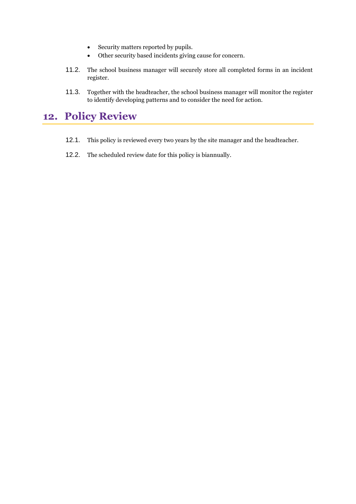- Security matters reported by pupils.
- Other security based incidents giving cause for concern.
- 11.2. The school business manager will securely store all completed forms in an incident register.
- 11.3. Together with the headteacher, the school business manager will monitor the register to identify developing patterns and to consider the need for action.

# <span id="page-8-0"></span>**12. Policy Review**

- 12.1. This policy is reviewed every two years by the site manager and the headteacher.
- 12.2. The scheduled review date for this policy is biannually.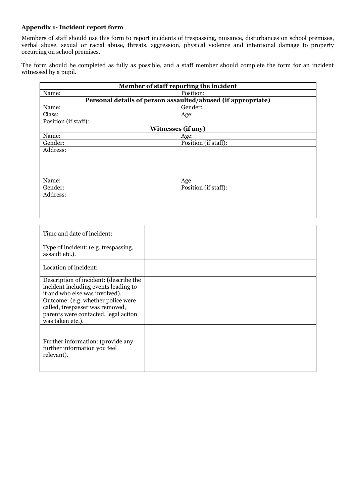#### <span id="page-9-0"></span>**Appendix 1- Incident report form**

Members of staff should use this form to report incidents of trespassing, nuisance, disturbances on school premises, verbal abuse, sexual or racial abuse, threats, aggression, physical violence and intentional damage to property occurring on school premises.

The form should be completed as fully as possible, and a staff member should complete the form for an incident witnessed by a pupil.

| Member of staff reporting the incident |                                                              |  |  |  |
|----------------------------------------|--------------------------------------------------------------|--|--|--|
| Name:                                  | Position:                                                    |  |  |  |
|                                        | Personal details of person assaulted/abused (if appropriate) |  |  |  |
| Name:                                  | Gender:                                                      |  |  |  |
| Class:                                 | Age:                                                         |  |  |  |
| Position (if staff):                   |                                                              |  |  |  |
| <b>Witnesses (if any)</b>              |                                                              |  |  |  |
| Name:                                  | Age:                                                         |  |  |  |
| Gender:                                | Position (if staff):                                         |  |  |  |
| Address:                               |                                                              |  |  |  |
|                                        |                                                              |  |  |  |
|                                        |                                                              |  |  |  |
|                                        |                                                              |  |  |  |
| Name:                                  | Age:                                                         |  |  |  |
| Gender:                                | Position (if staff):                                         |  |  |  |
| Address:                               |                                                              |  |  |  |
|                                        |                                                              |  |  |  |

| Time and date of incident:                                                                                                        |  |
|-----------------------------------------------------------------------------------------------------------------------------------|--|
| Type of incident: (e.g. trespassing,<br>assault etc.).                                                                            |  |
| Location of incident:                                                                                                             |  |
| Description of incident: (describe the<br>incident including events leading to<br>it and who else was involved).                  |  |
| Outcome: (e.g. whether police were<br>called, trespasser was removed,<br>parents were contacted, legal action<br>was taken etc.). |  |
| Further information: (provide any<br>further information you feel<br>relevant).                                                   |  |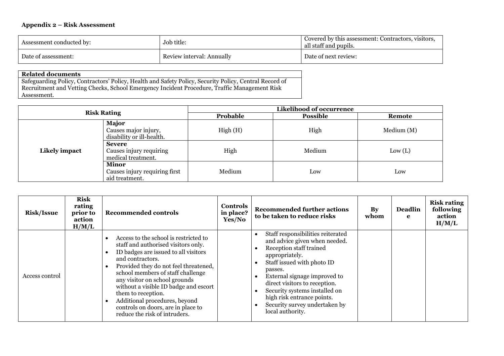#### **Appendix 2 – Risk Assessment**

| Assessment conducted by: | Job title:                | Covered by this assessment: Contractors, visitors.<br>all staff and pupils. |
|--------------------------|---------------------------|-----------------------------------------------------------------------------|
| Date of assessment:      | Review interval: Annually | Date of next review:                                                        |

#### **Related documents**

Safeguarding Policy, Contractors' Policy, Health and Safety Policy, Security Policy, Central Record of Recruitment and Vetting Checks, School Emergency Incident Procedure, Traffic Management Risk Assessment.

| <b>Risk Rating</b> |                                                                 | Likelihood of occurrence    |        |           |  |
|--------------------|-----------------------------------------------------------------|-----------------------------|--------|-----------|--|
|                    |                                                                 | Probable<br><b>Possible</b> |        | Remote    |  |
| Likely impact      | Major<br>Causes major injury,<br>disability or ill-health.      | High(H)                     | High   | Median(M) |  |
|                    | <b>Severe</b><br>Causes injury requiring<br>medical treatment.  | High                        | Medium | Low (L)   |  |
|                    | <b>Minor</b><br>Causes injury requiring first<br>aid treatment. | Medium                      | Low    | Low       |  |

<span id="page-10-0"></span>

| <b>Risk/Issue</b> | <b>Risk</b><br>rating<br>prior to<br>action<br>H/M/L | <b>Recommended controls</b>                                                                                                                                                                                                                                                                                                                                                                                                    | Controls<br>in place?<br>Yes/No | <b>Recommended further actions</b><br>to be taken to reduce risks                                                                                                                                                                                                                                                                             | $\mathbf{By}$<br>whom | <b>Deadlin</b><br>e | <b>Risk rating</b><br>following<br>action<br>H/M/L |
|-------------------|------------------------------------------------------|--------------------------------------------------------------------------------------------------------------------------------------------------------------------------------------------------------------------------------------------------------------------------------------------------------------------------------------------------------------------------------------------------------------------------------|---------------------------------|-----------------------------------------------------------------------------------------------------------------------------------------------------------------------------------------------------------------------------------------------------------------------------------------------------------------------------------------------|-----------------------|---------------------|----------------------------------------------------|
| Access control    |                                                      | Access to the school is restricted to<br>staff and authorised visitors only.<br>ID badges are issued to all visitors<br>and contractors.<br>Provided they do not feel threatened,<br>school members of staff challenge<br>any visitor on school grounds<br>without a visible ID badge and escort<br>them to reception.<br>Additional procedures, beyond<br>controls on doors, are in place to<br>reduce the risk of intruders. |                                 | Staff responsibilities reiterated<br>and advice given when needed.<br>Reception staff trained<br>appropriately.<br>Staff issued with photo ID<br>passes.<br>External signage improved to<br>direct visitors to reception.<br>Security systems installed on<br>high risk entrance points.<br>Security survey undertaken by<br>local authority. |                       |                     |                                                    |